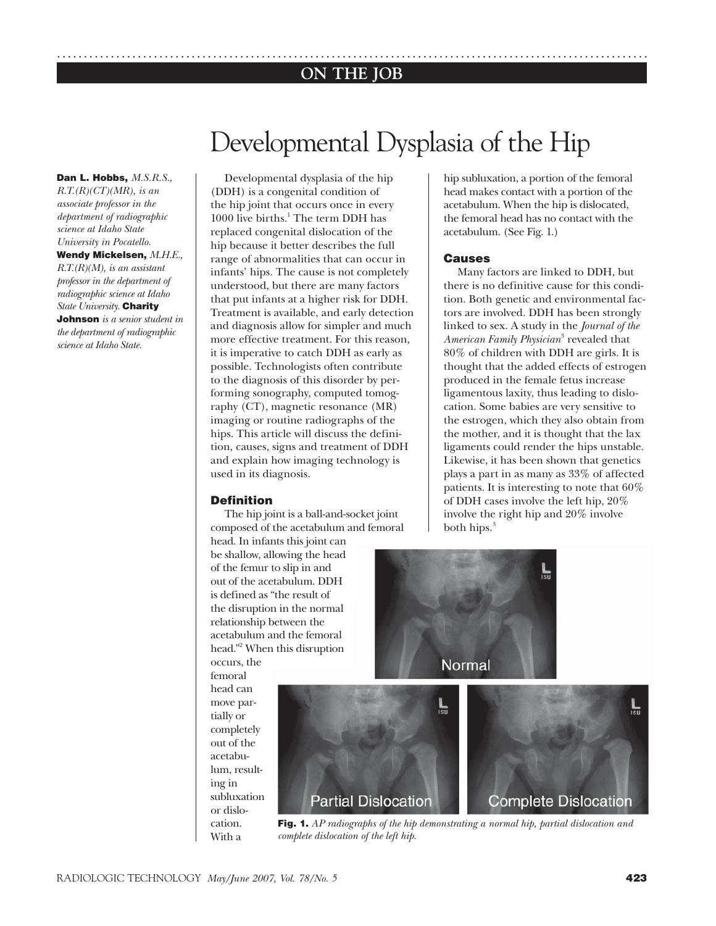# **ON THE JOB** ..............................................................................................................

# Developmental Dysplasia of the Hip

**Dan L. Hobbs,** *M.S.R.S., R.T.(R)(CT)(MR), is an associate professor in the department of radiographic science at Idaho State University in Pocatello.*  **Wendy Mickelsen,** *M.H.E., R.T.(R)(M), is an assistant professor in the department of radiographic science at Idaho State University.* **Charity Johnson** *is a senior student in the department of radiographic science at Idaho State.*

Developmental dysplasia of the hip (DDH) is a congenital condition of the hip joint that occurs once in every 1000 live births.<sup>1</sup> The term DDH has replaced congenital dislocation of the hip because it better describes the full range of abnormalities that can occur in infants' hips. The cause is not completely understood, but there are many factors that put infants at a higher risk for DDH. Treatment is available, and early detection and diagnosis allow for simpler and much more effective treatment. For this reason, it is imperative to catch DDH as early as possible. Technologists often contribute to the diagnosis of this disorder by performing sonography, computed tomography (CT), magnetic resonance (MR) imaging or routine radiographs of the hips. This article will discuss the definition, causes, signs and treatment of DDH and explain how imaging technology is used in its diagnosis.

# **Definition**

The hip joint is a ball-and-socket joint composed of the acetabulum and femoral

head. In infants this joint can be shallow, allowing the head of the femur to slip in and out of the acetabulum. DDH is defined as "the result of the disruption in the normal relationship between the acetabulum and the femoral head."<sup>2</sup> When this disruption occurs, the

femoral head can move partially or completely out of the acetabulum, resulting in subluxation or dislocation. With a

hip subluxation, a portion of the femoral head makes contact with a portion of the acetabulum. When the hip is dislocated, the femoral head has no contact with the acetabulum. (See Fig. 1.)

# **Causes**

Many factors are linked to DDH, but there is no definitive cause for this condition. Both genetic and environmental factors are involved. DDH has been strongly linked to sex. A study in the *Journal of the American Family Physician*<sup>3</sup> revealed that 80% of children with DDH are girls. It is thought that the added effects of estrogen produced in the female fetus increase ligamentous laxity, thus leading to dislocation. Some babies are very sensitive to the estrogen, which they also obtain from the mother, and it is thought that the lax ligaments could render the hips unstable. Likewise, it has been shown that genetics plays a part in as many as 33% of affected patients. It is interesting to note that 60% of DDH cases involve the left hip, 20% involve the right hip and 20% involve both hips. $3$ 



**Fig. 1.** *AP radiographs of the hip demonstrating a normal hip, partial dislocation and complete dislocation of the left hip.*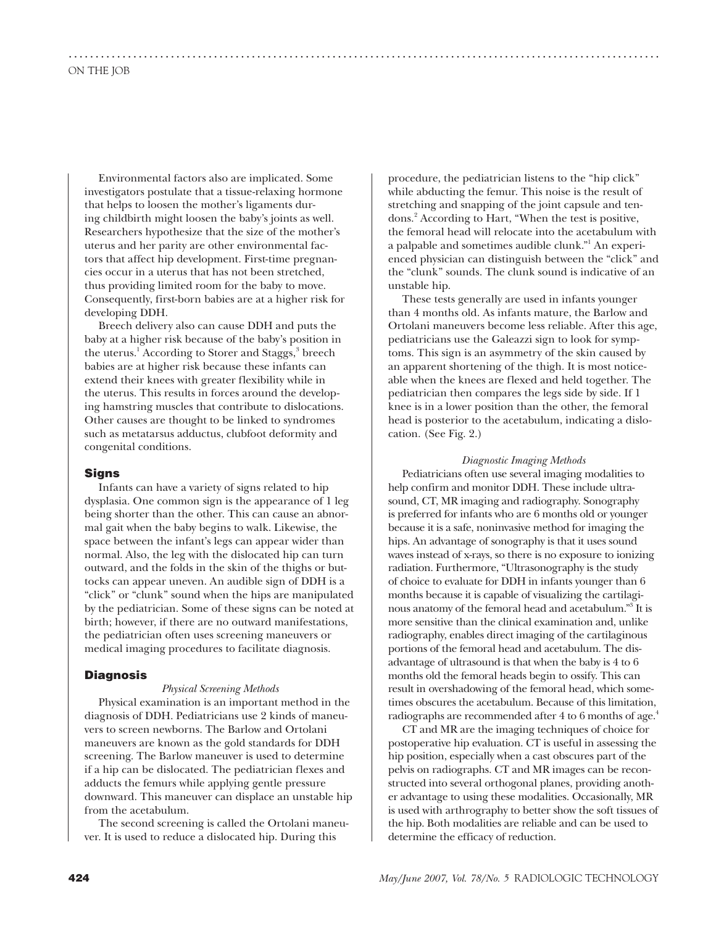Environmental factors also are implicated. Some investigators postulate that a tissue-relaxing hormone that helps to loosen the mother's ligaments during childbirth might loosen the baby's joints as well. Researchers hypothesize that the size of the mother's uterus and her parity are other environmental factors that affect hip development. First-time pregnancies occur in a uterus that has not been stretched, thus providing limited room for the baby to move. Consequently, first-born babies are at a higher risk for developing DDH.

..............................................................................................................

Breech delivery also can cause DDH and puts the baby at a higher risk because of the baby's position in the uterus.<sup>1</sup> According to Storer and Staggs,<sup>3</sup> breech babies are at higher risk because these infants can extend their knees with greater flexibility while in the uterus. This results in forces around the developing hamstring muscles that contribute to dislocations. Other causes are thought to be linked to syndromes such as metatarsus adductus, clubfoot deformity and congenital conditions.

#### **Signs**

Infants can have a variety of signs related to hip dysplasia. One common sign is the appearance of 1 leg being shorter than the other. This can cause an abnormal gait when the baby begins to walk. Likewise, the space between the infant's legs can appear wider than normal. Also, the leg with the dislocated hip can turn outward, and the folds in the skin of the thighs or buttocks can appear uneven. An audible sign of DDH is a "click" or "clunk" sound when the hips are manipulated by the pediatrician. Some of these signs can be noted at birth; however, if there are no outward manifestations, the pediatrician often uses screening maneuvers or medical imaging procedures to facilitate diagnosis.

#### **Diagnosis**

#### *Physical Screening Methods*

Physical examination is an important method in the diagnosis of DDH. Pediatricians use 2 kinds of maneuvers to screen newborns. The Barlow and Ortolani maneuvers are known as the gold standards for DDH screening. The Barlow maneuver is used to determine if a hip can be dislocated. The pediatrician flexes and adducts the femurs while applying gentle pressure downward. This maneuver can displace an unstable hip from the acetabulum.

The second screening is called the Ortolani maneuver. It is used to reduce a dislocated hip. During this

procedure, the pediatrician listens to the "hip click" while abducting the femur. This noise is the result of stretching and snapping of the joint capsule and tendons.<sup>2</sup> According to Hart, "When the test is positive, the femoral head will relocate into the acetabulum with a palpable and sometimes audible clunk."<sup>1</sup> An experienced physician can distinguish between the "click" and the "clunk" sounds. The clunk sound is indicative of an unstable hip.

These tests generally are used in infants younger than 4 months old. As infants mature, the Barlow and Ortolani maneuvers become less reliable. After this age, pediatricians use the Galeazzi sign to look for symptoms. This sign is an asymmetry of the skin caused by an apparent shortening of the thigh. It is most noticeable when the knees are flexed and held together. The pediatrician then compares the legs side by side. If 1 knee is in a lower position than the other, the femoral head is posterior to the acetabulum, indicating a dislocation. (See Fig. 2.)

#### *Diagnostic Imaging Methods*

Pediatricians often use several imaging modalities to help confirm and monitor DDH. These include ultrasound, CT, MR imaging and radiography. Sonography is preferred for infants who are 6 months old or younger because it is a safe, noninvasive method for imaging the hips. An advantage of sonography is that it uses sound waves instead of x-rays, so there is no exposure to ionizing radiation. Furthermore, "Ultrasonography is the study of choice to evaluate for DDH in infants younger than 6 months because it is capable of visualizing the cartilaginous anatomy of the femoral head and acetabulum."<sup>3</sup> It is more sensitive than the clinical examination and, unlike radiography, enables direct imaging of the cartilaginous portions of the femoral head and acetabulum. The disadvantage of ultrasound is that when the baby is 4 to 6 months old the femoral heads begin to ossify. This can result in overshadowing of the femoral head, which sometimes obscures the acetabulum. Because of this limitation, radiographs are recommended after 4 to 6 months of age.<sup>4</sup>

CT and MR are the imaging techniques of choice for postoperative hip evaluation. CT is useful in assessing the hip position, especially when a cast obscures part of the pelvis on radiographs. CT and MR images can be reconstructed into several orthogonal planes, providing another advantage to using these modalities. Occasionally, MR is used with arthrography to better show the soft tissues of the hip. Both modalities are reliable and can be used to determine the efficacy of reduction.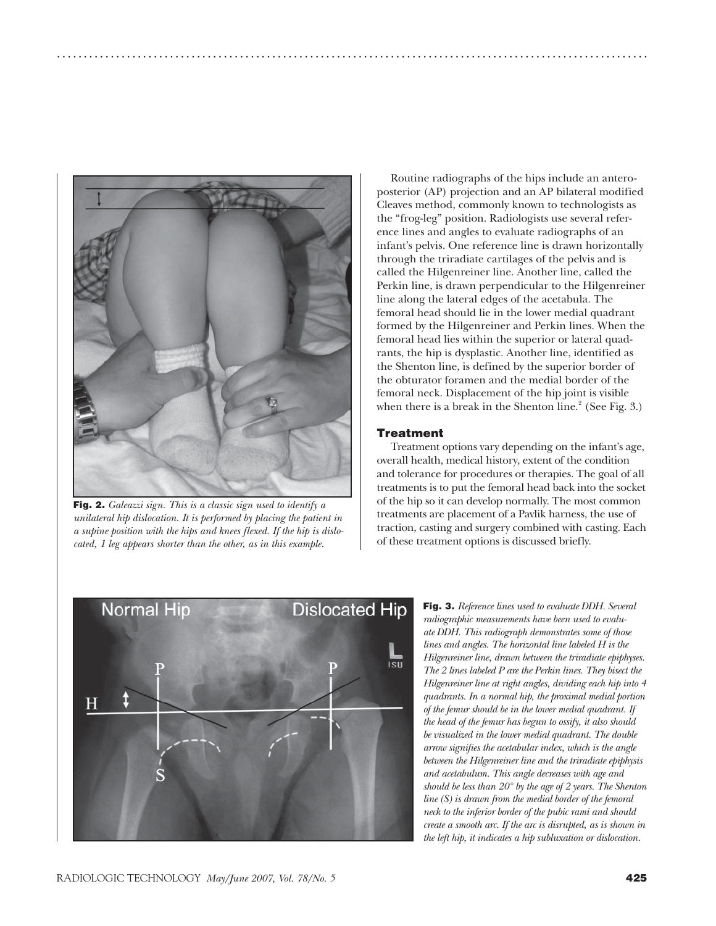

**Fig. 2.** *Galeazzi sign. This is a classic sign used to identify a unilateral hip dislocation. It is performed by placing the patient in a supine position with the hips and knees flexed. If the hip is dislocated, 1 leg appears shorter than the other, as in this example.*

Routine radiographs of the hips include an anteroposterior (AP) projection and an AP bilateral modified Cleaves method, commonly known to technologists as the "frog-leg" position. Radiologists use several reference lines and angles to evaluate radiographs of an infant's pelvis. One reference line is drawn horizontally through the triradiate cartilages of the pelvis and is called the Hilgenreiner line. Another line, called the Perkin line, is drawn perpendicular to the Hilgenreiner line along the lateral edges of the acetabula. The femoral head should lie in the lower medial quadrant formed by the Hilgenreiner and Perkin lines. When the femoral head lies within the superior or lateral quadrants, the hip is dysplastic. Another line, identified as the Shenton line, is defined by the superior border of the obturator foramen and the medial border of the femoral neck. Displacement of the hip joint is visible when there is a break in the Shenton line. $^2$  (See Fig. 3.)

#### **Treatment**

..............................................................................................................

Treatment options vary depending on the infant's age, overall health, medical history, extent of the condition and tolerance for procedures or therapies. The goal of all treatments is to put the femoral head back into the socket of the hip so it can develop normally. The most common treatments are placement of a Pavlik harness, the use of traction, casting and surgery combined with casting. Each of these treatment options is discussed briefly.



**Fig. 3.** *Reference lines used to evaluate DDH. Several radiographic measurements have been used to evaluate DDH. This radiograph demonstrates some of those lines and angles. The horizontal line labeled H is the Hilgenreiner line, drawn between the triradiate epiphyses. The 2 lines labeled P are the Perkin lines. They bisect the Hilgenreiner line at right angles, dividing each hip into 4 quadrants. In a normal hip, the proximal medial portion of the femur should be in the lower medial quadrant. If the head of the femur has begun to ossify, it also should be visualized in the lower medial quadrant. The double arrow signifies the acetabular index, which is the angle between the Hilgenreiner line and the triradiate epiphysis and acetabulum. This angle decreases with age and should be less than 20° by the age of 2 years. The Shenton line (S) is drawn from the medial border of the femoral neck to the inferior border of the pubic rami and should create a smooth arc. If the arc is disrupted, as is shown in the left hip, it indicates a hip subluxation or dislocation.*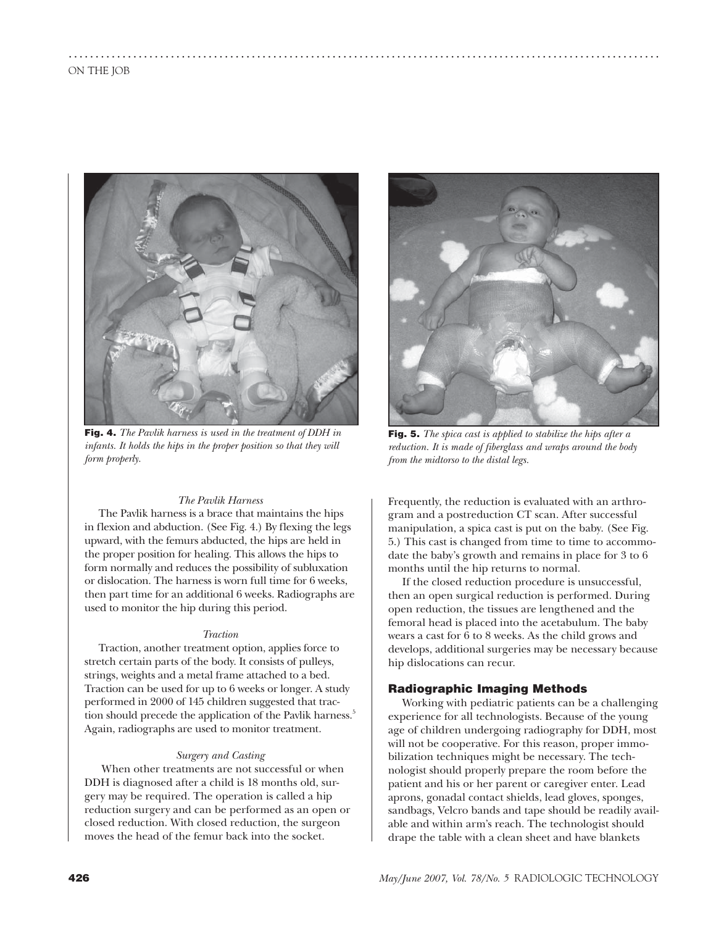

..............................................................................................................

**Fig. 4.** *The Pavlik harness is used in the treatment of DDH in infants. It holds the hips in the proper position so that they will form properly.*

## *The Pavlik Harness*

The Pavlik harness is a brace that maintains the hips in flexion and abduction. (See Fig. 4.) By flexing the legs upward, with the femurs abducted, the hips are held in the proper position for healing. This allows the hips to form normally and reduces the possibility of subluxation or dislocation. The harness is worn full time for 6 weeks, then part time for an additional 6 weeks. Radiographs are used to monitor the hip during this period.

#### *Traction*

Traction, another treatment option, applies force to stretch certain parts of the body. It consists of pulleys, strings, weights and a metal frame attached to a bed. Traction can be used for up to 6 weeks or longer. A study performed in 2000 of 145 children suggested that traction should precede the application of the Pavlik harness.<sup>5</sup> Again, radiographs are used to monitor treatment.

#### *Surgery and Casting*

 When other treatments are not successful or when DDH is diagnosed after a child is 18 months old, surgery may be required. The operation is called a hip reduction surgery and can be performed as an open or closed reduction. With closed reduction, the surgeon moves the head of the femur back into the socket.



**Fig. 5.** *The spica cast is applied to stabilize the hips after a reduction. It is made of fiberglass and wraps around the body from the midtorso to the distal legs.*

Frequently, the reduction is evaluated with an arthrogram and a postreduction CT scan. After successful manipulation, a spica cast is put on the baby. (See Fig. 5.) This cast is changed from time to time to accommodate the baby's growth and remains in place for 3 to 6 months until the hip returns to normal.

If the closed reduction procedure is unsuccessful, then an open surgical reduction is performed. During open reduction, the tissues are lengthened and the femoral head is placed into the acetabulum. The baby wears a cast for 6 to 8 weeks. As the child grows and develops, additional surgeries may be necessary because hip dislocations can recur.

## **Radiographic Imaging Methods**

Working with pediatric patients can be a challenging experience for all technologists. Because of the young age of children undergoing radiography for DDH, most will not be cooperative. For this reason, proper immobilization techniques might be necessary. The technologist should properly prepare the room before the patient and his or her parent or caregiver enter. Lead aprons, gonadal contact shields, lead gloves, sponges, sandbags, Velcro bands and tape should be readily available and within arm's reach. The technologist should drape the table with a clean sheet and have blankets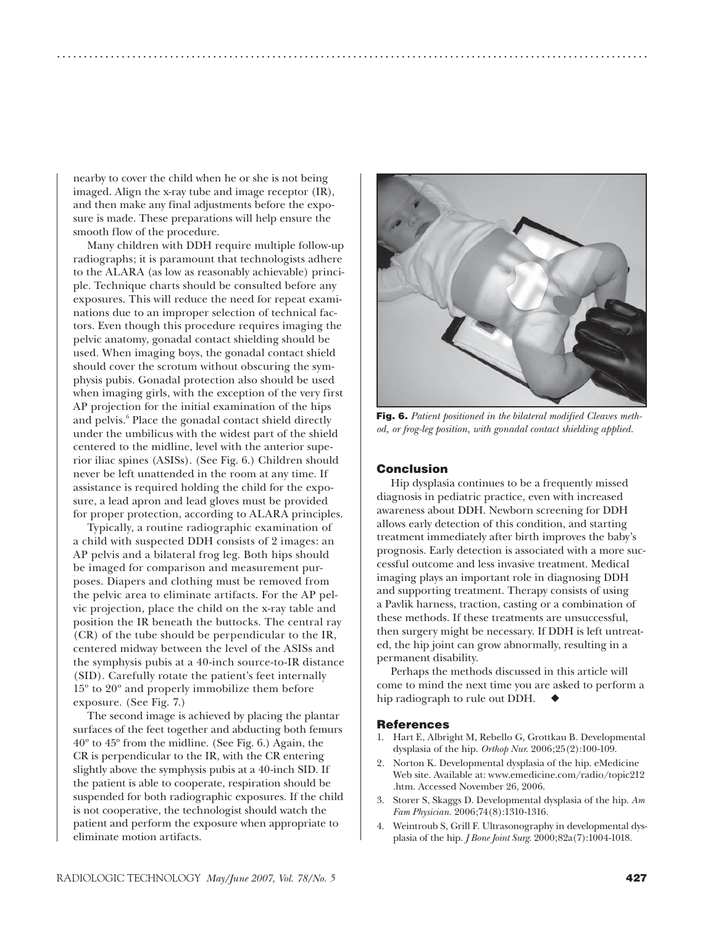nearby to cover the child when he or she is not being imaged. Align the x-ray tube and image receptor (IR), and then make any final adjustments before the exposure is made. These preparations will help ensure the smooth flow of the procedure.

Many children with DDH require multiple follow-up radiographs; it is paramount that technologists adhere to the ALARA (as low as reasonably achievable) principle. Technique charts should be consulted before any exposures. This will reduce the need for repeat examinations due to an improper selection of technical factors. Even though this procedure requires imaging the pelvic anatomy, gonadal contact shielding should be used. When imaging boys, the gonadal contact shield should cover the scrotum without obscuring the symphysis pubis. Gonadal protection also should be used when imaging girls, with the exception of the very first AP projection for the initial examination of the hips and pelvis.<sup>6</sup> Place the gonadal contact shield directly under the umbilicus with the widest part of the shield centered to the midline, level with the anterior superior iliac spines (ASISs). (See Fig. 6.) Children should never be left unattended in the room at any time. If assistance is required holding the child for the exposure, a lead apron and lead gloves must be provided for proper protection, according to ALARA principles.

Typically, a routine radiographic examination of a child with suspected DDH consists of 2 images: an AP pelvis and a bilateral frog leg. Both hips should be imaged for comparison and measurement purposes. Diapers and clothing must be removed from the pelvic area to eliminate artifacts. For the AP pelvic projection, place the child on the x-ray table and position the IR beneath the buttocks. The central ray (CR) of the tube should be perpendicular to the IR, centered midway between the level of the ASISs and the symphysis pubis at a 40-inch source-to-IR distance (SID). Carefully rotate the patient's feet internally 15º to 20º and properly immobilize them before exposure. (See Fig. 7.)

The second image is achieved by placing the plantar surfaces of the feet together and abducting both femurs 40º to 45º from the midline. (See Fig. 6.) Again, the CR is perpendicular to the IR, with the CR entering slightly above the symphysis pubis at a 40-inch SID. If the patient is able to cooperate, respiration should be suspended for both radiographic exposures. If the child is not cooperative, the technologist should watch the patient and perform the exposure when appropriate to eliminate motion artifacts.



**Fig. 6.** *Patient positioned in the bilateral modified Cleaves method, or frog-leg position, with gonadal contact shielding applied.*

# **Conclusion**

..............................................................................................................

Hip dysplasia continues to be a frequently missed diagnosis in pediatric practice, even with increased awareness about DDH. Newborn screening for DDH allows early detection of this condition, and starting treatment immediately after birth improves the baby's prognosis. Early detection is associated with a more successful outcome and less invasive treatment. Medical imaging plays an important role in diagnosing DDH and supporting treatment. Therapy consists of using a Pavlik harness, traction, casting or a combination of these methods. If these treatments are unsuccessful, then surgery might be necessary. If DDH is left untreated, the hip joint can grow abnormally, resulting in a permanent disability.

Perhaps the methods discussed in this article will come to mind the next time you are asked to perform a hip radiograph to rule out DDH.  $\blacklozenge$ 

#### **References**

- 1. Hart E, Albright M, Rebello G, Grottkau B. Developmental dysplasia of the hip. *Orthop Nur*. 2006;25(2):100-109.
- 2. Norton K. Developmental dysplasia of the hip. eMedicine Web site. Available at: www.emedicine.com/radio/topic212 .htm. Accessed November 26, 2006.
- 3. Storer S, Skaggs D. Developmental dysplasia of the hip. *Am Fam Physician*. 2006;74(8):1310-1316.
- 4. Weintroub S, Grill F. Ultrasonography in developmental dysplasia of the hip. *J Bone Joint Surg*. 2000;82a(7):1004-1018.